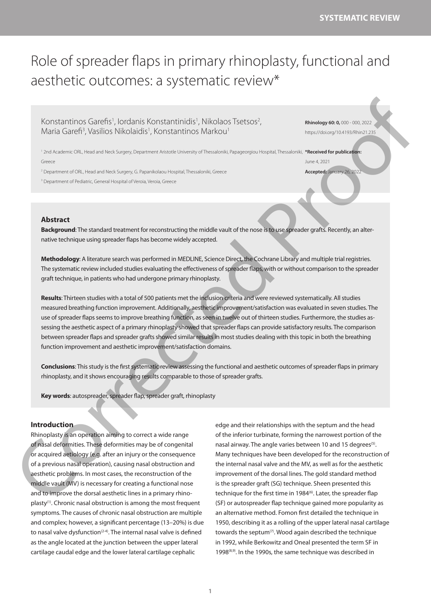# Role of spreader flaps in primary rhinoplasty, functional and aesthetic outcomes: a systematic review\*

Konstantinos Garefis<sup>1</sup>, Iordanis Konstantinidis<sup>1</sup>, Nikolaos Tsetsos<sup>2</sup>, Maria Garefi<sup>3</sup>, Vasilios Nikolaidis<sup>1</sup>, Konstantinos Markou<sup>1</sup>

**Rhinology 60: 0,** 000 - 000, 2022 https://doi.org/10.4193/Rhin21.235

**Accepted:** January 26, 2022

<sup>1</sup> 2nd Academic ORL, Head and Neck Surgery, Department Aristotle University of Thessaloniki, Papageorgiou Hospital, Thessaloniki, **\*Received for publication**: Greece June 4, 2021

2 Department of ORL, Head and Neck Surgery, G. Papanikolaou Hospital, Thessaloniki, Greece

<sup>3</sup> Department of Pediatric, General Hospital of Veroia, Veroia, Greece

# **Abstract**

**Background**: The standard treatment for reconstructing the middle vault of the nose is to use spreader grafts. Recently, an alternative technique using spreader flaps has become widely accepted.

**Methodology**: A literature search was performed in ΜEDLINE, Science Direct, the Cochrane Library and multiple trial registries. The systematic review included studies evaluating the effectiveness of spreader flaps, with or without comparison to the spreader graft technique, in patients who had undergone primary rhinoplasty.

**Results**: Thirteen studies with a total of 500 patients met the inclusion criteria and were reviewed systematically. All studies measured breathing function improvement. Additionally, aesthetic improvement/satisfaction was evaluated in seven studies. The use of spreader flaps seems to improve breathing function, as seen in twelve out of thirteen studies. Furthermore, the studies assessing the aesthetic aspect of a primary rhinoplasty showed that spreader flaps can provide satisfactory results. The comparison between spreader flaps and spreader grafts showed similar results in most studies dealing with this topic in both the breathing function improvement and aesthetic improvement/satisfaction domains. KONSTATIONS (SQCFIIS), lotician is Constant in d. d. Nicolass TS20057,<br>
Moria Gancel, Visuali as Nicolasi as Corrected in a security of the result of the second properties of the second corrected properties of the second

**Conclusions**: This study is the first systematic review assessing the functional and aesthetic outcomes of spreader flaps in primary rhinoplasty, and it shows encouraging results comparable to those of spreader grafts.

**Key words**: autospreader, spreader flap, spreader graft, rhinoplasty

# **Introduction**

Rhinoplasty is an operation aiming to correct a wide range of nasal deformities. These deformities may be of congenital or acquired aetiology (e.g. after an injury or the consequence of a previous nasal operation), causing nasal obstruction and aesthetic problems. In most cases, the reconstruction of the middle vault (MV) is necessary for creating a functional nose and to improve the dorsal aesthetic lines in a primary rhinoplasty(1). Chronic nasal obstruction is among the most frequent symptoms. The causes of chronic nasal obstruction are multiple and complex; however, a significant percentage (13–20%) is due to nasal valve dysfunction<sup> $(2-4)$ </sup>. The internal nasal valve is defined as the angle located at the junction between the upper lateral cartilage caudal edge and the lower lateral cartilage cephalic

edge and their relationships with the septum and the head of the inferior turbinate, forming the narrowest portion of the nasal airway. The angle varies between 10 and 15 degrees<sup>(5)</sup>. Many techniques have been developed for the reconstruction of the internal nasal valve and the MV, as well as for the aesthetic improvement of the dorsal lines. The gold standard method is the spreader graft (SG) technique. Sheen presented this technique for the first time in 1984<sup>(6)</sup>. Later, the spreader flap (SF) or autospreader flap technique gained more popularity as an alternative method. Fomon first detailed the technique in 1950, describing it as a rolling of the upper lateral nasal cartilage towards the septum<sup>(7)</sup>. Wood again described the technique in 1992, while Berkowitz and Oneal presented the term SF in 1998(8,9). In the 1990s, the same technique was described in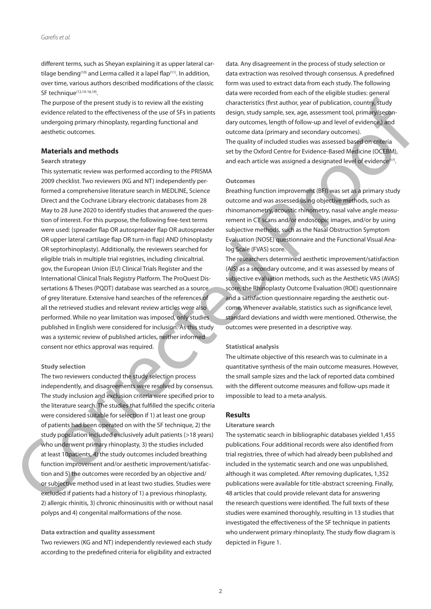different terms, such as Sheyan explaining it as upper lateral cartilage bending<sup>(10)</sup> and Lerma called it a lapel flap<sup>(11)</sup>. In addition, over time, various authors described modifications of the classic SF technique<sup>(12,14-16,19)</sup>.

The purpose of the present study is to review all the existing evidence related to the effectiveness of the use of SFs in patients undergoing primary rhinoplasty, regarding functional and aesthetic outcomes.

# **Materials and methods**

# **Search strategy**

This systematic review was performed according to the PRISMA 2009 checklist. Two reviewers (ΚG and NT) independently performed a comprehensive literature search in MEDLINE, Science Direct and the Cochrane Library electronic databases from 28 May to 28 June 2020 to identify studies that answered the question of interest. For this purpose, the following free-text terms were used: (spreader flap OR autospreader flap OR autospreader OR upper lateral cartilage flap OR turn-in flap) AND (rhinoplasty OR septorhinoplasty). Additionally, the reviewers searched for eligible trials in multiple trial registries, including clinicaltrial. gov, the European Union (EU) Clinical Trials Register and the International Clinical Trials Registry Platform. The ProQuest Dissertations & Theses (PQDT) database was searched as a source of grey literature. Extensive hand searches of the references of all the retrieved studies and relevant review articles were also performed. While no year limitation was imposed, only studies published in English were considered for inclusion. As this study was a systemic review of published articles, neither informed consent nor ethics approval was required. The particle of free term into the set of the set of the set of the set of the set of the set of the set of the set of the set of the set of the set of the set of the set of the set of the set of the set of the set of the

# **Study selection**

The two reviewers conducted the study selection process independently, and disagreements were resolved by consensus. The study inclusion and exclusion criteria were specified prior to the literature search. The studies that fulfilled the specific criteria were considered suitable for selection if 1) at least one group of patients had been operated on with the SF technique, 2) the study population included exclusively adult patients (>18 years) who underwent primary rhinoplasty, 3) the studies included at least 10patients, 4) the study outcomes included breathing function improvement and/or aesthetic improvement/satisfaction and 5) the outcomes were recorded by an objective and/ or subjective method used in at least two studies. Studies were excluded if patients had a history of 1) a previous rhinoplasty, 2) allergic rhinitis, 3) chronic rhinosinusitis with or without nasal polyps and 4) congenital malformations of the nose.

# **Data extraction and quality assessment**

Two reviewers (KG and NT) independently reviewed each study according to the predefined criteria for eligibility and extracted data. Any disagreement in the process of study selection or data extraction was resolved through consensus. A predefined form was used to extract data from each study. The following data were recorded from each of the eligible studies: general characteristics (first author, year of publication, country, study design, study sample, sex, age, assessment tool, primary/secondary outcomes, length of follow-up and level of evidence,) and outcome data (primary and secondary outcomes). The quality of included studies was assessed based on criteria set by the Oxford Centre for Evidence-Based Medicine (OCEBM), and each article was assigned a designated level of evidence<sup>(17)</sup>.

#### **Outcomes**

Breathing function improvement (BFI) was set as a primary study outcome and was assessed using objective methods, such as rhinomanometry, acoustic rhinometry, nasal valve angle measurement in CT scans and/or endoscopic images, and/or by using subjective methods, such as the Nasal Obstruction Symptom Evaluation (NOSE) questionnaire and the Functional Visual Analog Scale (FVAS) score.

The researchers determined aesthetic improvement/satisfaction (AIS) as a secondary outcome, and it was assessed by means of subjective evaluation methods, such as the Aesthetic VAS (AVAS) score, the Rhinoplasty Outcome Evaluation (ROE) questionnaire and a satisfaction questionnaire regarding the aesthetic outcome. Whenever available, statistics such as significance level, standard deviations and width were mentioned. Otherwise, the outcomes were presented in a descriptive way.

#### **Statistical analysis**

The ultimate objective of this research was to culminate in a quantitative synthesis of the main outcome measures. However, the small sample sizes and the lack of reported data combined with the different outcome measures and follow-ups made it impossible to lead to a meta-analysis.

# **Results**

#### **Literature search**

The systematic search in bibliographic databases yielded 1,455 publications. Four additional records were also identified from trial registries, three of which had already been published and included in the systematic search and one was unpublished, although it was completed. After removing duplicates, 1,352 publications were available for title-abstract screening. Finally, 48 articles that could provide relevant data for answering the research questions were identified. The full texts of these studies were examined thoroughly, resulting in 13 studies that investigated the effectiveness of the SF technique in patients who underwent primary rhinoplasty. The study flow diagram is depicted in Figure 1.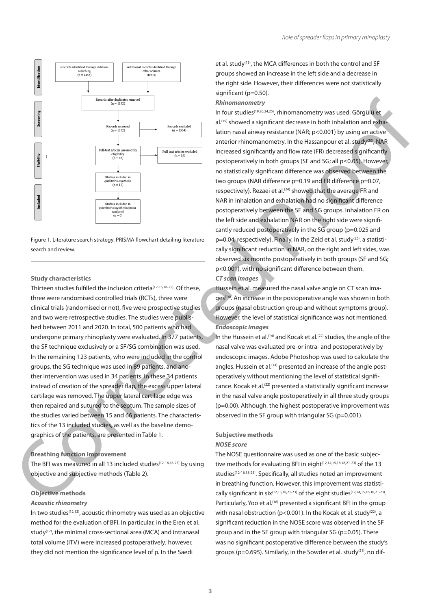

Figure 1. Literature search strategy. PRISMA flowchart detailing literature search and review.

#### **Study characteristics**

Thirteen studies fulfilled the inclusion criteria<sup>(12-16,18-25)</sup>. Of these, three were randomised controlled trials (RCTs), three were clinical trials (randomised or not), five were prospective studies and two were retrospective studies. The studies were published between 2011 and 2020. In total, 500 patients who had undergone primary rhinoplasty were evaluated. In 377 patients, the SF technique exclusively or a SF/SG combination was used. In the remaining 123 patients, who were included in the control groups, the SG technique was used in 89 patients, and another intervention was used in 34 patients. In these 34 patients instead of creation of the spreader flap, the excess upper lateral cartilage was removed. The upper lateral cartilage edge was then repaired and sutured to the septum. The sample sizes of the studies varied between 15 and 66 patients. The characteristics of the 13 included studies, as well as the baseline demographics of the patients, are presented in Table 1.

# **Breathing function improvement**

The BFI was measured in all 13 included studies(12-16,18-25) by using objective and subjective methods (Table 2).

# **Objective methods**

# *Acoustic rhinometry*

In two studies(12,13), acoustic rhinometry was used as an objective method for the evaluation of BFI. In particular, in the Εren et al. study(12), the minimal cross-sectional area (ΜCA) and intranasal total volume (ΙΤV) were increased postoperatively; however, they did not mention the significance level of p. In the Saedi

et al. study<sup>(13)</sup>, the MCA differences in both the control and SF groups showed an increase in the left side and a decrease in the right side. However, their differences were not statistically significant (p=0.50).

#### *Rhinomanometry*

In four studies(19,20,24,25), rhinomanometry was used. Görgülü et al.<sup>(19)</sup> showed a significant decrease in both inhalation and exhalation nasal airway resistance (NAR; p<0.001) by using an active anterior rhinomanometry. In the Hassanpour et al. study(20), ΝΑR increased significantly and flow rate (FR) decreased significantly postoperatively in both groups (SF and SG; all p≤0.05). However, no statistically significant difference was observed between the two groups (NAR difference p=0.19 and FR difference p=0.07, respectively). Rezaei et al.<sup>(24)</sup> showed that the average FR and NAR in inhalation and exhalation had no significant difference postoperatively between the SF and SG groups. Inhalation FR on the left side and exhalation NAR on the right side were significantly reduced postoperatively in the SG group (p=0.025 and p=0.04, respectively). Finally, in the Zeid et al. study<sup>(25)</sup>, a statistically significant reduction in NAR, on the right and left sides, was observed six months postoperatively in both groups (SF and SG; p<0.001), with no significant difference between them. *CT scan images* **Example 11.** (and the specific and the specific and the specific and the specific and the specific and the specific and the specific and the specific and the specific and the specific and the specific and the specific an

Hussein et al. measured the nasal valve angle on CT scan images(14). An increase in the postoperative angle was shown in both groups (nasal obstruction group and without symptoms group). However, the level of statistical significance was not mentioned. *Endoscopic images*

In the Hussein et al.<sup>(14)</sup> and Kocak et al.<sup>(22)</sup> studies, the angle of the nasal valve was evaluated pre-or intra- and postoperatively by endoscopic images. Adobe Photoshop was used to calculate the angles. Hussein et al.<sup>(14)</sup> presented an increase of the angle postoperatively without mentioning the level of statistical significance. Kocak et al.<sup>(22)</sup> presented a statistically significant increase in the nasal valve angle postoperatively in all three study groups (p=0.00). Although, the highest postoperative improvement was observed in the SF group with triangular SG (p=0.001).

# **Subjective methods**

# *NOSE score*

The NOSE questionnaire was used as one of the basic subjective methods for evaluating BFI in eight<sup>(12,14,15,16,18,21-23)</sup> of the 13 studies<sup>(12-16,18-25)</sup>. Specifically, all studies noted an improvement in breathing function. However, this improvement was statistically significant in six<sup>(12,15,18,21-23)</sup> of the eight studies<sup>(12,14,15,16,18,21-23)</sup>. Particularly, Yoo et al.<sup>(18)</sup> presented a significant BFI in the group with nasal obstruction ( $p$ <0.001). In the Kocak et al. study<sup>(22)</sup>, a significant reduction in the NOSE score was observed in the SF group and in the SF group with triangular SG (p=0.05). There was no significant postoperative difference between the study's groups ( $p=0.695$ ). Similarly, in the Sowder et al. study<sup>(21)</sup>, no dif-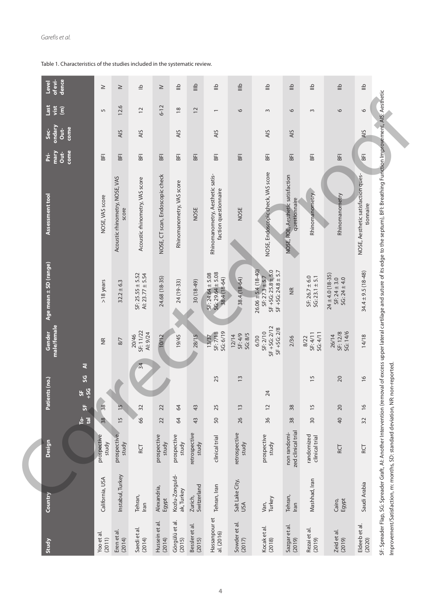| of evi-<br>dence<br>Level<br>$\equiv$<br>$\stackrel{\triangle}{=}$<br>$\triangleq$<br>$\overset{\text{O}}{=}$<br>$\stackrel{\text{d}}{=}$<br>$\overset{\text{\tiny \textsf{Q}}}{=}$<br>$\overset{\Delta}{=}$<br>$\equiv$<br>$\triangleq$<br>으<br>$\geq$<br>$\geq$<br>$\geq$<br>12.6<br>$6 - 12$<br><b>JSPT</b><br>vist<br>$\widehat{\boldsymbol{\epsilon}}$<br>$\frac{8}{2}$<br>$\overline{c}$<br>$\overline{c}$<br>$\circ$<br>9<br>$\circ$<br>$\overline{5}$<br>$\circ$<br>$\sim$<br>$\sim$<br>$\overline{\phantom{0}}$<br>ondary<br>come<br>Out-<br>ပ်င<br>AIS<br>AIS<br>AIS<br>AIS<br>AIS<br>AIS<br>AIS<br>come<br>mary<br>Out-<br>È<br>BFI<br>BFI<br>BFI<br>BFI<br>BFI<br>BFI<br>돔<br>E<br>돎<br>띪<br>돎<br>돔<br>돎<br>NOSE, Endoscopic check, VAS score<br>Rhinomanometry, Aesthetic satis-<br>NOSE, CT scan, Endoscopic check<br>NOSE, Aesthetic satisfaction ques-<br>NOSE, ROE, Aesthetic satisfaction<br>Acoustic rhinometry, NOSE, VAS<br>Acoustic rhinometry, VAS score<br>Rhinomanometry, VAS score<br>faction questionnaire<br>Rhinomanometry<br>Rhinomanometry<br>Assessment tool<br>NOSE, VAS score<br>questionnaire<br>tionnaire<br>NOSE<br>NOSE<br>score<br>Age mean ± SD (range)<br>$SF + SG: 25.8 + 5.0$<br>$26.06 \pm 5.4(18 - 40)$<br>$SF + SG: 24.8 \pm 5.7$<br>$34.4 \pm 9.5 (18 - 48)$<br>$SG: 29.64 \pm 5.08$<br>$SF: 24.64 \pm 5.08$<br>Al: $23.77 \pm 5.54$<br>$SF: 25.55 \pm 5.52$<br>$24 \pm 4.0(18 - 35)$<br>$SF: 26.7 \pm 6.0$<br>$SG: 23.1 \pm 5.1$<br>24.68 (18-35)<br>$SF: 27.3 \pm 5.7$<br>38.4 (18-64)<br>38.4 (18-64)<br>$SF: 24 \pm 3.0$<br>$SG: 24 \pm 4.0$<br>$>18$ years<br>24 (19-33)<br>$30(18-49)$<br>$32.2 \pm 6.3$<br>$\frac{1}{2}$ |
|--------------------------------------------------------------------------------------------------------------------------------------------------------------------------------------------------------------------------------------------------------------------------------------------------------------------------------------------------------------------------------------------------------------------------------------------------------------------------------------------------------------------------------------------------------------------------------------------------------------------------------------------------------------------------------------------------------------------------------------------------------------------------------------------------------------------------------------------------------------------------------------------------------------------------------------------------------------------------------------------------------------------------------------------------------------------------------------------------------------------------------------------------------------------------------------------------------------------------------------------------------------------------------------------------------------------------------------------------------------------------------------------------------------------------------------------------------------------------------------------------------------------------------------------------------------------------------------------------------------------------------------------------------------------------------|
|                                                                                                                                                                                                                                                                                                                                                                                                                                                                                                                                                                                                                                                                                                                                                                                                                                                                                                                                                                                                                                                                                                                                                                                                                                                                                                                                                                                                                                                                                                                                                                                                                                                                                |
|                                                                                                                                                                                                                                                                                                                                                                                                                                                                                                                                                                                                                                                                                                                                                                                                                                                                                                                                                                                                                                                                                                                                                                                                                                                                                                                                                                                                                                                                                                                                                                                                                                                                                |
|                                                                                                                                                                                                                                                                                                                                                                                                                                                                                                                                                                                                                                                                                                                                                                                                                                                                                                                                                                                                                                                                                                                                                                                                                                                                                                                                                                                                                                                                                                                                                                                                                                                                                |
|                                                                                                                                                                                                                                                                                                                                                                                                                                                                                                                                                                                                                                                                                                                                                                                                                                                                                                                                                                                                                                                                                                                                                                                                                                                                                                                                                                                                                                                                                                                                                                                                                                                                                |
|                                                                                                                                                                                                                                                                                                                                                                                                                                                                                                                                                                                                                                                                                                                                                                                                                                                                                                                                                                                                                                                                                                                                                                                                                                                                                                                                                                                                                                                                                                                                                                                                                                                                                |
|                                                                                                                                                                                                                                                                                                                                                                                                                                                                                                                                                                                                                                                                                                                                                                                                                                                                                                                                                                                                                                                                                                                                                                                                                                                                                                                                                                                                                                                                                                                                                                                                                                                                                |
|                                                                                                                                                                                                                                                                                                                                                                                                                                                                                                                                                                                                                                                                                                                                                                                                                                                                                                                                                                                                                                                                                                                                                                                                                                                                                                                                                                                                                                                                                                                                                                                                                                                                                |
|                                                                                                                                                                                                                                                                                                                                                                                                                                                                                                                                                                                                                                                                                                                                                                                                                                                                                                                                                                                                                                                                                                                                                                                                                                                                                                                                                                                                                                                                                                                                                                                                                                                                                |
|                                                                                                                                                                                                                                                                                                                                                                                                                                                                                                                                                                                                                                                                                                                                                                                                                                                                                                                                                                                                                                                                                                                                                                                                                                                                                                                                                                                                                                                                                                                                                                                                                                                                                |
|                                                                                                                                                                                                                                                                                                                                                                                                                                                                                                                                                                                                                                                                                                                                                                                                                                                                                                                                                                                                                                                                                                                                                                                                                                                                                                                                                                                                                                                                                                                                                                                                                                                                                |
|                                                                                                                                                                                                                                                                                                                                                                                                                                                                                                                                                                                                                                                                                                                                                                                                                                                                                                                                                                                                                                                                                                                                                                                                                                                                                                                                                                                                                                                                                                                                                                                                                                                                                |
|                                                                                                                                                                                                                                                                                                                                                                                                                                                                                                                                                                                                                                                                                                                                                                                                                                                                                                                                                                                                                                                                                                                                                                                                                                                                                                                                                                                                                                                                                                                                                                                                                                                                                |
|                                                                                                                                                                                                                                                                                                                                                                                                                                                                                                                                                                                                                                                                                                                                                                                                                                                                                                                                                                                                                                                                                                                                                                                                                                                                                                                                                                                                                                                                                                                                                                                                                                                                                |
|                                                                                                                                                                                                                                                                                                                                                                                                                                                                                                                                                                                                                                                                                                                                                                                                                                                                                                                                                                                                                                                                                                                                                                                                                                                                                                                                                                                                                                                                                                                                                                                                                                                                                |

Table 1. Characteristics of the studies included in the systematic review.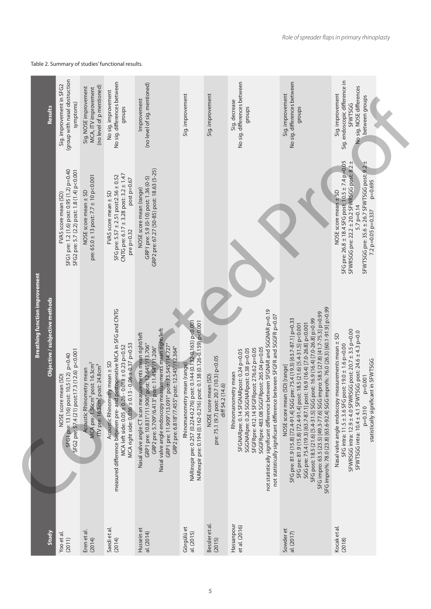| Results                                                                 | (group with nasal obstruction<br>Sig. improvement in SFG2<br>symptoms)                                             | (no level of p mentioned)<br>Sig. NOSE improvement<br>MCA, ITV improvement                                                                   | No sig. differences between<br>No sig. improvement<br>groups                                                                                                                                                           | (no level of sig. mentioned)<br>Improvement                                                                                                                                                                                                                                                                                      | Sig. improvement                                                                                                                                                           | Sig. improvement                                                                     | No sig. differences between<br>Sig. decrease<br>groups                                                                                                                                                                                                                                                                                                      | No sig. differences between<br>Sig. improvement<br>groups                                                                                                                                                                                                                                                                                                                                                                                                                                                | Sig. endoscopic difference in<br>No sig. NOSE differences<br>Sig. improvement<br>between groups<br><b>SFWTSGG</b>                                                                                                                                                                                  |  |
|-------------------------------------------------------------------------|--------------------------------------------------------------------------------------------------------------------|----------------------------------------------------------------------------------------------------------------------------------------------|------------------------------------------------------------------------------------------------------------------------------------------------------------------------------------------------------------------------|----------------------------------------------------------------------------------------------------------------------------------------------------------------------------------------------------------------------------------------------------------------------------------------------------------------------------------|----------------------------------------------------------------------------------------------------------------------------------------------------------------------------|--------------------------------------------------------------------------------------|-------------------------------------------------------------------------------------------------------------------------------------------------------------------------------------------------------------------------------------------------------------------------------------------------------------------------------------------------------------|----------------------------------------------------------------------------------------------------------------------------------------------------------------------------------------------------------------------------------------------------------------------------------------------------------------------------------------------------------------------------------------------------------------------------------------------------------------------------------------------------------|----------------------------------------------------------------------------------------------------------------------------------------------------------------------------------------------------------------------------------------------------------------------------------------------------|--|
|                                                                         | SFG1 pre: 1.2 (1.6) post: 0.95 (1.2) p=0.40<br>SFG2 pre: 5.7 (2.2) post: 1.8 (1.4) p<0.001<br>FVAS score mean (SD) | pre: 65.0 $\pm$ 13 post: 7.7 $\pm$ 10 p<0.001<br>NOSE score mean ± SD                                                                        | CNTG pre: 6.17 $\pm$ 3.28 post: 3.2 $\pm$ 1.47<br>SFG pre: 5.57 ± 2.51 post:2.56 ± 0.52<br>post p=0.67<br>FVAS score mean ± SD<br>pre $p=0.32$                                                                         | GRP2 pre: 67.27 (50-85) post: 18.63 (5-25)<br>GRP1 pre: 5.9 (0-10) post: 1.36 (0-5)<br>NOSE score mean (range)                                                                                                                                                                                                                   |                                                                                                                                                                            |                                                                                      |                                                                                                                                                                                                                                                                                                                                                             |                                                                                                                                                                                                                                                                                                                                                                                                                                                                                                          | SFG pre: 26.8 ± 18.4 SFG post: 10.5 ± 7.4 p=0.05<br>SFWRSGG pre: 22.2 ± 20.2 SFWRSGG post: 8.2 ±<br>SFWTSGG pre: 35.6 ± 26.7 SFWTSGG post: 9.2 ±<br>p=0.695<br>NOSE score mean ± SD<br>5.7 p=0.14<br>7.2 p=0.05 p=0.337                                                                            |  |
| <b>Breathing function improvement</b><br>Objective / subjective methods | SFG2 pre: 57.4 (21) post:17.3 (12.6) p<0.001<br>SFG1 pre: 13 (16) post: 10,5 (12) p=0.40<br>NOSE score mean (SD)   | MCA pre: 1.56cm <sup>2</sup> post: 16.3cm <sup>2</sup><br>ITV pre: 16.3cm <sup>3</sup> post: 24.8cm <sup>3</sup><br>Acoustic Rhinometry mean | measured difference between pre- and postoperative MCA in SFG and CNTG<br>MCA right side: 0.036 ± 0.13 - 0.06 ± 0.37 p=0.53<br>MCA left side: $0.05 \pm 0.26 - 0.018 \pm 0.23$ p=0.52<br>Acoustic Rhinometry mean ± SD | Nasal valve angle endoscopy measurements mean right/left<br>Nasal valve angle CT scan measurements mean right/left<br>GRP1 pre: 10.831°/11.906° post: 12.645°/13.706°<br>GRP1 pre: 11.909°/13.091° post: 13.545°/14.727°<br>post: 11.454°/11.206°<br>post: 12.545°/12.364°<br>GRP2 pre: 5.709°/6.413°<br>GRP2 pre: 6.818°/7.455° | NARinspir pre: 0.257 (0.224-0.276) post: 0.144 (0.132-0.163) p<0.001<br>NARexpir pre: 0.194 (0.162-0.216) post: 0.138 (0.126-0.159) p<0.001<br>Rhinomanometry mean (range) | pre: 75.1 (9.7) post: 20.7 (10.3) p<0.05<br>NOSE score mean (SD)<br>diff 54.2 (14.6) | not statistically significant difference between SFGNAR and SGGNAR p=0.19<br>not statistically significant difference between SFGFR and SGGFR p=0.07<br>SGGFRpre: 483.08 SGGFRpost: 265.04 p=0.05<br>SFGFRpre: 412.14 SFGFRpost: 276.62 p=0.05<br>SGGNARpre: 0.26 SGGNARpost: 0.38 p=0.05<br>SFGNARpre: 0.14 SFGNARpost: 0.24 p=0.05<br>Rhinomanometry mean | SFG impro%: 78.0 (23.8) [63.6-92.4] SGG impro%: 76.0 (26.3) [60.1-91.9] p>0.99<br>SFG impro: 63.5 (23.5) [49.3-77.6] SGG impro: 58.5 (27.8) [41.7-75.3] p>0.99<br>SFG post: 18.5 (21.6) [5.4-31.5] SGG post: 16.9 (16.4) [7.0-26.8] p>0.99<br>SFG pre: 81.9 (15.8) [72.4-91.4] SGG pre: 75.4 (19.3) [63.7-87.1] p=0.33<br>SGG pre: 75.4 (19.3) [63.7-87.1] post: 16.9 (16.4) [7.0-26.8] p<0.001<br>SFG pre: 81.9 (15.8) [72.4-91.4] post: 18.5 (21.6) [5.4-31.5] p<0.001<br>NOSE score mean (SD) [range] | SFWRSGG intra: 12.9 ± 4.0 SFWRSGG post: 20.7 ± 3.5 p=0.00<br>SFWTSGG intra: 10.4 ± 4.1 SFWTSGG post: 24.6 ± 4.3 p=0.0<br>Nasal valve angle endoscopy measurements mean ± SD<br>SFG intra: 11.5 ± 3.6 SFG post: 19.0 ± 1.6 p=0.00<br>statistically significant in SFWTSGG<br>$p=0.001$<br>$p=0.310$ |  |
| Study                                                                   | Yoo et al.<br>(2011)                                                                                               | Eren et al.<br>(2014)                                                                                                                        | Saedi et al.<br>(2014)                                                                                                                                                                                                 | Hussein et<br>al. (2014)                                                                                                                                                                                                                                                                                                         | Görgülü et<br>al. (2015)                                                                                                                                                   | Bessler et al.<br>(2015)                                                             | Hassanpour<br>et al. (2016)                                                                                                                                                                                                                                                                                                                                 | Sowder et<br>al. (2017)                                                                                                                                                                                                                                                                                                                                                                                                                                                                                  | Kocak et al.<br>(2018)                                                                                                                                                                                                                                                                             |  |

# Table 2. Summary of studies' functional results.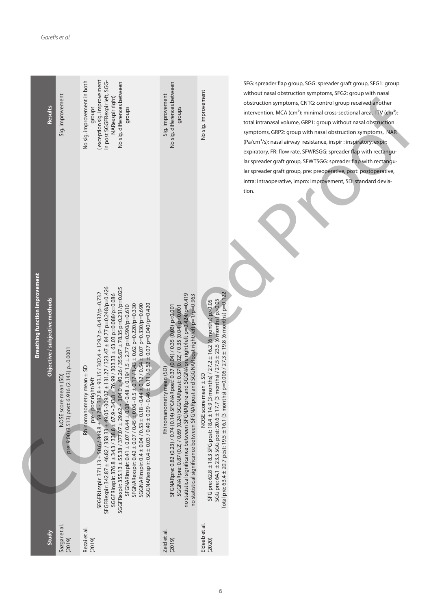| Results                                                                 | Sig. improvement                                                       | exception sig. improvement<br>No sig. improvement in both<br>in post SGGFRexpir left, SGG-<br>No sig. differences between<br>NARexspir right)<br>groups<br>groups                                                                                                                                                                                                                                                                                                                                                                                                                                                                                                                                                                                                                                                                        | No sig. differences between<br>Sig. improvement<br>groups                                                                                                                                                                                                                                                                                                                            | No sig. improvement                                                                                                                                                                                                                                                                                                      | SFG: spreader flap group, SGG: spreader graft group, SFG1: group<br>without nasal obstruction symptoms, SFG2: group with nasal<br>obstruction symptoms, CNTG: control group received another<br>intervention, MCA (cm <sup>2</sup> ): minimal cross-sectional area, ITV (cm <sup>3</sup> ):<br>total intranasal volume, GRP1: group without nasal obstruction<br>symptoms, GRP2: group with nasal obstruction symptoms, NAR<br>(Pa/cm <sup>3</sup> /s): nasal airway resistance, inspir : inspiratory, expir:<br>expiratory, FR: flow rate, SFWRSGG: spreader flap with rectangu-<br>lar spreader graft group, SFWTSGG: spreader flap with rectangu- |
|-------------------------------------------------------------------------|------------------------------------------------------------------------|------------------------------------------------------------------------------------------------------------------------------------------------------------------------------------------------------------------------------------------------------------------------------------------------------------------------------------------------------------------------------------------------------------------------------------------------------------------------------------------------------------------------------------------------------------------------------------------------------------------------------------------------------------------------------------------------------------------------------------------------------------------------------------------------------------------------------------------|--------------------------------------------------------------------------------------------------------------------------------------------------------------------------------------------------------------------------------------------------------------------------------------------------------------------------------------------------------------------------------------|--------------------------------------------------------------------------------------------------------------------------------------------------------------------------------------------------------------------------------------------------------------------------------------------------------------------------|------------------------------------------------------------------------------------------------------------------------------------------------------------------------------------------------------------------------------------------------------------------------------------------------------------------------------------------------------------------------------------------------------------------------------------------------------------------------------------------------------------------------------------------------------------------------------------------------------------------------------------------------------|
| <b>Breathing function improvement</b><br>Objective / subjective methods | pre: 9.00 (3.513) post: 6.916 (2.143) p=0.0001<br>NOSE score mean (SD) | $07 \pm 131.27 / 323.47 \pm 84.77$ p=0.248/p=0.426<br>SGGFRexpir: 355.13 ± 55.38 / 377.07 ± 29.62 - 304.0 ± 40.26 / 355.67 ± 78.35 p=0.231/p=0.025<br>SFGFR inspir: 371.13 ± 50.6/349.8 ± 59,78 - 337.8 ± 93.15 / 302.4 ± 129.2 p=0.432/p=0.732<br>SGGFRinspir: 376.8 ± 34.3 / 338.8 ± 67.9 - 343.8 ± 76.99 / 303.33 ± 63.03 p=0.088/p=0.086<br>SGGNARexspir: 0.4 ± 0.03 / 0.49 ± 0.09 - 0.46 ± 0.11 / 0.52 ± 0.07 p=0.040/p=0.420<br>SFGNARexspir: 0.42 ± 0.07 / 0.45 ± 0.06 - 0.5 ± 0.17 / 1.43 ± 0.62 p=0.220/p=0.330<br>$4 \pm 0.12 / 0.54 \pm 0.07$ p=0.330/p=0.690<br>$.48 \pm 0.19/1.5 \pm 2.77$ p=0.590/p=0.610<br>Rhinomanometry mean ± SD<br>pre-post right/left<br>SFGNARinspir: 0.41 ± 0.07 / 0.44 ± 0.08 - 0.<br>$SGGNARin$ spir: $0.4 \pm 0.04 / 0.53 \pm 0.18 - 0.4$<br>SFGFRexpir: 342.87 ± 46.82 / 358.33 ± 49.05 -309. | no statistical significance between SFGNARpre and SGGNApre right/left p=0.424/p=0.419<br>no statistical significance between SFGNARpost and SGGNARpost right/left p=1/p=0.963<br>SFGNARpre: 0.82 (0.23) / 0.74 (0.14) SFGNARpost: 0.37 (0.04) / 0.35 (0.03) p<0.001<br>SGGNARpre: 0.87 (0.2) / 0.69 (0.24) SGGNARpost: 0.37 (0.02) / 0.35 (0.04) p<0.001<br>Rhinomanometry mean (SD) | Total pre: 63.4 ± 20.7 post: 19.5 ± 16.1 (3 months) p=0.006 / 27.3 ± 19.8 (6 months) p=0.122<br>months) $/ 27.5 \pm 23.5$ (6 months) $p > 0.05$<br>months) / $27.2 \pm 16.2$ (6 months) p>0.05<br>NOSE score mean ± SD<br>SFG pre: 62.8 ± 18.3 SFG post: 18.4 ± 14.9 (3<br>SGG pre: 64.1 ± 23.5 SGG post: 20.6 ± 17.7 (3 | lar spreader graft group, pre: preoperative, post: postoperative,<br>intra: intraoperative, impro: improvement, SD: standard devia-<br>tion.                                                                                                                                                                                                                                                                                                                                                                                                                                                                                                         |
| Study                                                                   | Sazgar et al.<br>(2019)                                                | Rezai et al.<br>(2019)                                                                                                                                                                                                                                                                                                                                                                                                                                                                                                                                                                                                                                                                                                                                                                                                                   | Zeid et al.<br>(2019)                                                                                                                                                                                                                                                                                                                                                                | Eldeeb et al<br>(2020)                                                                                                                                                                                                                                                                                                   |                                                                                                                                                                                                                                                                                                                                                                                                                                                                                                                                                                                                                                                      |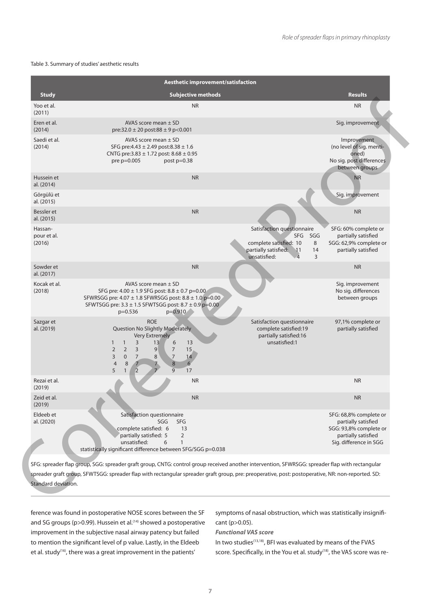#### Table 3. Summary of studies' aesthetic results

| <b>Study</b><br>Yoo et al.       | <b>Subjective methods</b><br><b>NR</b>                                                                                                                                                                                                                                                                                                                                                                                                                                    |                                                                                                                                              | <b>Results</b><br><b>NR</b>                                                                                              |
|----------------------------------|---------------------------------------------------------------------------------------------------------------------------------------------------------------------------------------------------------------------------------------------------------------------------------------------------------------------------------------------------------------------------------------------------------------------------------------------------------------------------|----------------------------------------------------------------------------------------------------------------------------------------------|--------------------------------------------------------------------------------------------------------------------------|
| (2011)                           |                                                                                                                                                                                                                                                                                                                                                                                                                                                                           |                                                                                                                                              |                                                                                                                          |
| Eren et al.<br>(2014)            | AVAS score mean $\pm$ SD<br>pre:32.0 ± 20 post:88 ± 9 p<0.001                                                                                                                                                                                                                                                                                                                                                                                                             |                                                                                                                                              | Sig. improvement                                                                                                         |
| Saedi et al.<br>(2014)           | AVAS score mean $\pm$ SD<br>SFG pre: $4.43 \pm 2.49$ post: $8.38 \pm 1.6$<br>CNTG pre: $3.83 \pm 1.72$ post: $8.68 \pm 0.95$<br>pre p=0.005<br>post $p=0.38$                                                                                                                                                                                                                                                                                                              |                                                                                                                                              | Improvement<br>(no level of sig. menti-<br>oned)<br>No sig. post differences<br>between groups                           |
| Hussein et<br>al. (2014)         | <b>NR</b>                                                                                                                                                                                                                                                                                                                                                                                                                                                                 |                                                                                                                                              | <b>NR</b>                                                                                                                |
| Görgülü et<br>al. (2015)         |                                                                                                                                                                                                                                                                                                                                                                                                                                                                           |                                                                                                                                              | Sig. improvement                                                                                                         |
| Bessler et<br>al. (2015)         | <b>NR</b>                                                                                                                                                                                                                                                                                                                                                                                                                                                                 |                                                                                                                                              | <b>NR</b>                                                                                                                |
| Hassan-<br>pour et al.<br>(2016) |                                                                                                                                                                                                                                                                                                                                                                                                                                                                           | Satisfaction questionnaire<br>SFG SGG<br>complete satisfied: 10<br>8<br>partially satisfied: 11<br>14<br>unsatisfied:<br>3<br>$\overline{4}$ | SFG: 60% complete or<br>partially satisfied<br>SGG: 62,9% complete or<br>partially satisfied                             |
| Sowder et<br>al. (2017)          | <b>NR</b>                                                                                                                                                                                                                                                                                                                                                                                                                                                                 |                                                                                                                                              | <b>NR</b>                                                                                                                |
| Kocak et al.<br>(2018)           | AVAS score mean $\pm$ SD<br>SFG pre: 4.00 ± 1.9 SFG post: 8.8 ± 0.7 p=0.00<br>SFWRSGG pre: 4.07 ± 1.8 SFWRSGG post: 8.8 ± 1.0 p=0.00<br>SFWTSGG pre: $3.3 \pm 1.5$ SFWTSGG post: $8.7 \pm 0.9$ p=0.00<br>$p=0.536$<br>p=0.910                                                                                                                                                                                                                                             |                                                                                                                                              | Sig. improvement<br>No sig. differences<br>between groups                                                                |
| Sazgar et<br>al. (2019)          | <b>ROE</b><br>Question No Slightly Moderately<br><b>Very Extremely</b><br>$\overline{3}$<br>6<br>$\mathbf{1}$<br>13<br>13<br>$\mathbf{1}$<br>$\overline{2}$<br>$\overline{3}$<br>$\overline{9}$<br>$\overline{2}$<br>$\overline{7}$<br>15<br>$\overline{7}$<br>$\overline{0}$<br>$7\overline{ }$<br>8<br>$\overline{3}$<br>14<br>$\overline{8}$<br>6 <sup>′</sup><br>$\overline{4}$<br>8<br>$\overline{7}$<br>17<br>$\overline{9}$<br>5<br>$\mathbf{1}$<br>$\overline{2}$ | Satisfaction questionnaire<br>complete satisfied:19<br>partially satisfied:16<br>unsatisfied:1                                               | 97,1% complete or<br>partially satisfied                                                                                 |
| Rezai et al.<br>(2019)           | <b>NR</b>                                                                                                                                                                                                                                                                                                                                                                                                                                                                 |                                                                                                                                              | <b>NR</b>                                                                                                                |
| Zeid et al.<br>(2019)            | <b>NR</b>                                                                                                                                                                                                                                                                                                                                                                                                                                                                 |                                                                                                                                              | <b>NR</b>                                                                                                                |
| Eldeeb et<br>al. (2020)          | Satisfaction questionnaire<br>SGG<br><b>SFG</b><br>complete satisfied: 6<br>13<br>partially satisfied: 5<br>$\overline{2}$<br>unsatisfied:<br>$\mathbf{1}$<br>6<br>statistically significant difference between SFG/SGG p=0.038                                                                                                                                                                                                                                           |                                                                                                                                              | SFG: 68,8% complete or<br>partially satisfied<br>SGG: 93,8% complete or<br>partially satisfied<br>Sig. difference in SGG |
|                                  | SFG: spreader flap group, SGG: spreader graft group, CNTG: control group received another intervention, SFWRSGG: spreader flap with rectangular                                                                                                                                                                                                                                                                                                                           |                                                                                                                                              |                                                                                                                          |
| Standard deviation.              | spreader graft group, SFWTSGG: spreader flap with rectangular spreader graft group, pre: preoperative, post: postoperative, NR: non-reported. SD:                                                                                                                                                                                                                                                                                                                         |                                                                                                                                              |                                                                                                                          |

ference was found in postoperative NOSE scores between the SF and SG groups (p>0.99). Hussein et al.<sup>(14)</sup> showed a postoperative improvement in the subjective nasal airway patency but failed to mention the significant level of p value. Lastly, in the Eldeeb et al. study<sup>(16)</sup>, there was a great improvement in the patients'

symptoms of nasal obstruction, which was statistically insignificant (p>0.05).

*Functional VAS score*

In two studies<sup>(13,18)</sup>, BFI was evaluated by means of the FVAS score. Specifically, in the You et al. study<sup>(18)</sup>, the VAS score was re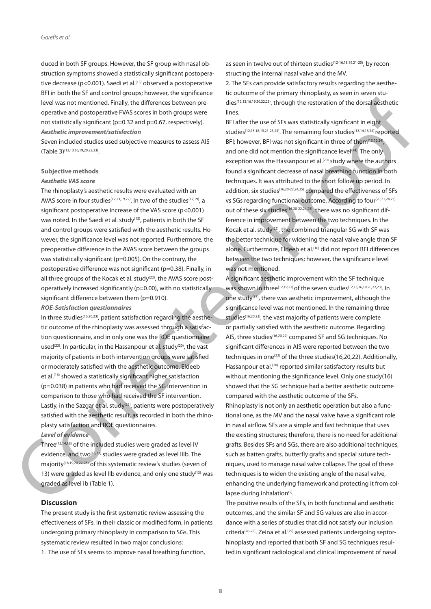duced in both SF groups. However, the SF group with nasal obstruction symptoms showed a statistically significant postoperative decrease (p<0.001). Saedi et al.<sup>(13)</sup> observed a postoperative BFI in both the SF and control groups; however, the significance level was not mentioned. Finally, the differences between preoperative and postoperative FVAS scores in both groups were not statistically significant (p=0.32 and p=0.67, respectively). *Aesthetic improvement/satisfaction* 

Seven included studies used subjective measures to assess AIS (Table 3)(12,13,16,19,20,22,23).

#### **Subjective methods**

### *Aesthetic VAS score*

The rhinoplasty's aesthetic results were evaluated with an AVAS score in four studies<sup>(12,13,19,22)</sup>. In two of the studies<sup>(12,19)</sup>, a significant postoperative increase of the VAS score (p<0.001) was noted. In the Saedi et al. study<sup>(13)</sup>, patients in both the SF and control groups were satisfied with the aesthetic results. However, the significance level was not reported. Furthermore, the preoperative difference in the AVAS score between the groups was statistically significant (p=0.005). On the contrary, the postoperative difference was not significant (p=0.38). Finally, in all three groups of the Kocak et al. study<sup>(22)</sup>, the AVAS score postoperatively increased significantly (p=0.00), with no statistically significant difference between them (p=0.910).

*RΟΕ-Satisfaction questionnaires*

In three studies(16,20,23), patient satisfaction regarding the aesthetic outcome of the rhinoplasty was assessed through a satisfaction questionnaire, and in only one was the ROE questionnaire used<sup>(23)</sup>. In particular, in the Hassanpour et al. study<sup>(20)</sup>, the vast majority of patients in both intervention groups were satisfied or moderately satisfied with the aesthetic outcome. Eldeeb et al.<sup>(16)</sup> showed a statistically significant higher satisfaction (p=0.038) in patients who had received the SG intervention in comparison to those who had received the SF intervention. Lastly, in the Sazgar et al. study<sup>(23)</sup>, patients were postoperatively satisfied with the aesthetic result, as recorded in both the rhinoplasty satisfaction and ROE questionnaires.

# *Level of evidence*

Three<sup> $(12,14,18)$ </sup> of the included studies were graded as level IV evidence, and two<sup>(15,21)</sup> studies were graded as level IIIb. The majority(16,19,20,22-25) of this systematic review's studies (seven of 13) were graded as level IIb evidence, and only one study<sup>(13)</sup> was graded as level Ib (Table 1).

# **Discussion**

The present study is the first systematic review assessing the effectiveness of SFs, in their classic or modified form, in patients undergoing primary rhinoplasty in comparison to SGs. This systematic review resulted in two major conclusions: 1. The use of SFs seems to improve nasal breathing function,

as seen in twelve out of thirteen studies<sup>(12-16,18,19,21-25)</sup>, by reconstructing the internal nasal valve and the MV.

2. The SFs can provide satisfactory results regarding the aesthetic outcome of the primary rhinoplasty, as seen in seven studies(12,13,16,19,20,22,23), through the restoration of the dorsal aesthetic lines.

BFI after the use of SFs was statistically significant in eight studies(12,15,18,19,21-23,25). The remaining four studies(13,14,16,24) reported BFI; however, BFI was not significant in three of them<sup>(13,16,24)</sup>, and one did not mention the significance level<sup>(14)</sup>. The only exception was the Hassanpour et al.<sup>(20)</sup> study where the authors found a significant decrease of nasal breathing function in both techniques. It was attributed to the short follow up period. In addition, six studies<sup>(16,20-22,24,25)</sup> compared the effectiveness of SFs vs SGs regarding functional outcome. According to four<sup>(20,21,24,25)</sup> out of these six studies(16,20-22,24,25), there was no significant difference in improvement between the two techniques. In the Kocak et al. study(22), the combined triangular SG with SF was the better technique for widening the nasal valve angle than SF alone. Furthermore, Eldeeb et al.<sup>(16)</sup> did not report BFI differences between the two techniques; however, the significance level was not mentioned.

A significant aesthetic improvement with the SF technique was shown in three<sup>(12,19,22)</sup> of the seven studies<sup>(12,13,16,19,20,22,23)</sup>. In one study(13), there was aesthetic improvement, although the significance level was not mentioned. In the remaining three studies<sup>(16,20,23)</sup>, the vast majority of patients were complete or partially satisfied with the aesthetic outcome. Regarding AIS, three studies(16,20,22) compared SF and SG techniques. No significant differences in AIS were reported between the two techniques in one<sup> $(22)$ </sup> of the three studies(16,20,22). Additionally, Hassanpour et al.<sup>(20)</sup> reported similar satisfactory results but without mentioning the significance level. Only one study(16) showed that the SG technique had a better aesthetic outcome compared with the aesthetic outcome of the SFs. Rhinoplasty is not only an aesthetic operation but also a functional one, as the MV and the nasal valve have a significant role in nasal airflow. SFs are a simple and fast technique that uses the existing structures; therefore, there is no need for additional grafts. Besides SFs and SGs, there are also additional techniques, such as batten grafts, butterfly grafts and special suture techniques, used to manage nasal valve collapse. The goal of these techniques is to widen the existing angle of the nasal valve, enhancing the underlying framework and protecting it from collapse during inhalation $(5)$ . involvement profits and and proposed in the sample of the sample of the sample of the sample of the sample of the sample of the sample of the sample of the sample of the sample of the sample of the sample of the sample of

The positive results of the SFs, in both functional and aesthetic outcomes, and the similar SF and SG values are also in accordance with a series of studies that did not satisfy our inclusion criteria<sup>(26-28)</sup>. Zeina et al.<sup>(29)</sup> assessed patients undergoing septorhinoplasty and reported that both SF and SG techniques resulted in significant radiological and clinical improvement of nasal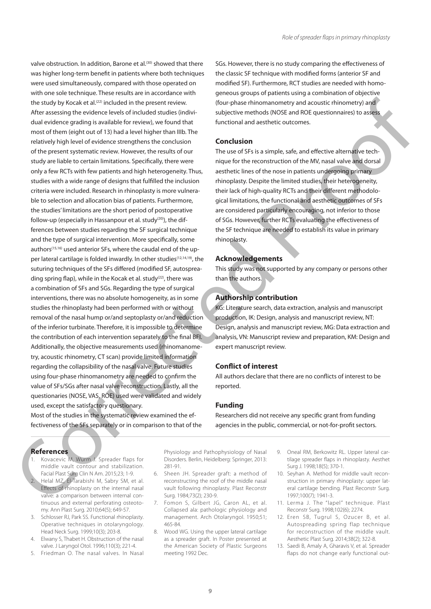valve obstruction. In addition, Barone et al.<sup>(30)</sup> showed that there was higher long-term benefit in patients where both techniques were used simultaneously, compared with those operated on with one sole technique. These results are in accordance with the study by Kocak et al.<sup>(22)</sup> included in the present review. After assessing the evidence levels of included studies (individual evidence grading is available for review), we found that most of them (eight out of 13) had a level higher than IIIb. The relatively high level of evidence strengthens the conclusion of the present systematic review. However, the results of our study are liable to certain limitations. Specifically, there were only a few RCTs with few patients and high heterogeneity. Thus, studies with a wide range of designs that fulfilled the inclusion criteria were included. Research in rhinoplasty is more vulnerable to selection and allocation bias of patients. Furthermore, the studies' limitations are the short period of postoperative follow-up (especially in Hassanpour et al. study<sup>(20)</sup>), the differences between studies regarding the SF surgical technique and the type of surgical intervention. More specifically, some authors<sup>(15,16)</sup> used anterior SFs, where the caudal end of the upper lateral cartilage is folded inwardly. In other studies<sup>(12,14,19)</sup>, the suturing techniques of the SFs differed (modified SF, autospreading spring flap), while in the Kocak et al. study<sup>(22)</sup>, there was a combination of SFs and SGs. Regarding the type of surgical interventions, there was no absolute homogeneity, as in some studies the rhinoplasty had been performed with or without removal of the nasal hump or/and septoplasty or/and reduction of the inferior turbinate. Therefore, it is impossible to determine the contribution of each intervention separately to the final BFI. Additionally, the objective measurements used (rhinomanometry, acoustic rhinometry, CT scan) provide limited information The nuclear content and linear terms in previous that the proportion is the probability of the state of the state of the state of the state of the state of the state of the state of the state of the state of the state of

regarding the collapsibility of the nasal valve. Future studies using four-phase rhinomanometry are needed to confirm the value of SFs/SGs after nasal valve reconstruction. Lastly, all the questionaries (NOSE, VAS, ROE) used were validated and widely used, except the satisfactory questionary.

Most of the studies in the systematic review examined the effectiveness of the SFs separately or in comparison to that of the SGs. However, there is no study comparing the effectiveness of the classic SF technique with modified forms (anterior SF and modified SF). Furthermore, RCT studies are needed with homogeneous groups of patients using a combination of objective (four-phase rhinomanometry and acoustic rhinometry) and subjective methods (NOSE and ROE questionnaires) to assess functional and aesthetic outcomes.

# **Conclusion**

The use of SFs is a simple, safe, and effective alternative technique for the reconstruction of the MV, nasal valve and dorsal aesthetic lines of the nose in patients undergoing primary rhinoplasty. Despite the limited studies, their heterogeneity, their lack of high-quality RCTs and their different methodological limitations, the functional and aesthetic outcomes of SFs are considered particularly encouraging, not inferior to those of SGs. However, further RCTs evaluating the effectiveness of the SF technique are needed to establish its value in primary rhinoplasty.

# **Acknowledgements**

This study was not supported by any company or persons other than the authors.

# **Authorship contribution**

KG: Literature search, data extraction, analysis and manuscript production, IK: Design, analysis and manuscript review, NT: Design, analysis and manuscript review, MG: Data extraction and analysis, VN: Manuscript review and preparation, KΜ: Design and expert manuscript review.

# **Conflict of interest**

All authors declare that there are no conflicts of interest to be reported.

# **Funding**

Researchers did not receive any specific grant from funding agencies in the public, commercial, or not-for-profit sectors.

# **References**

- 1. Kovacevic M, Wurm J. Spreader flaps for middle vault contour and stabilization. Facial Plast Surg Clin N Am. 2015;23; 1-9.
- 2. Helal MZ, El-Tarabishi M, Sabry SM, et al. Effects of rhinoplasty on the internal nasal valve: a comparison between internal continuous and external perforating osteotomy. Ann Plast Surg. 2010;64(5); 649-57.
- 3. Schlosser RJ, Park SS. Functional rhinoplasty. Operative techniques in otolaryngology. Head Neck Surg. 1999;10(3); 203-8.
- 4. Elwany S, Thabet H. Obstruction of the nasal valve. J Laryngol Otol. 1996;110(3); 221-4.
- 5. Friedman O. The nasal valves. In Nasal

Physiology and Pathophysiology of Nasal Disorders. Berlin, Heidelberg: Springer, 2013: 281-91.

- 6. Sheen JH. Spreader graft: a method of reconstructing the roof of the middle nasal vault following rhinoplasty. Plast Reconstr Surg. 1984;73(2); 230-9.
- 7. Fomon S, Gilbert JG, Caron AL, et al. Collapsed ala: pathologic physiology and management. Arch Otolaryngol. 1950;51; 465-84.
- 8. Wood WG. Using the upper lateral cartilage as a spreader graft. In Poster presented at the American Society of Plastic Surgeons meeting 1992 Dec.
- 9. Oneal RM, Berkowitz RL. Upper lateral cartilage spreader flaps in rhinoplasty. Aesthet Surg J. 1998;18(5); 370-1.
- 10. Seyhan A. Method for middle vault reconstruction in primary rhinoplasty: upper lateral cartilage bending. Plast Reconstr Surg. 1997;100(7); 1941-3.
- 11. Lerma J. The "lapel" technique. Plast Reconstr Surg. 1998;102(6); 2274.
- 12. Eren SB, Tugrul S, Ozucer B, et al. Autospreading spring flap technique for reconstruction of the middle vault. Aesthetic Plast Surg. 2014;38(2); 322-8.
- 13. Saedi B, Amaly A, Gharavis V, et al. Spreader flaps do not change early functional out-